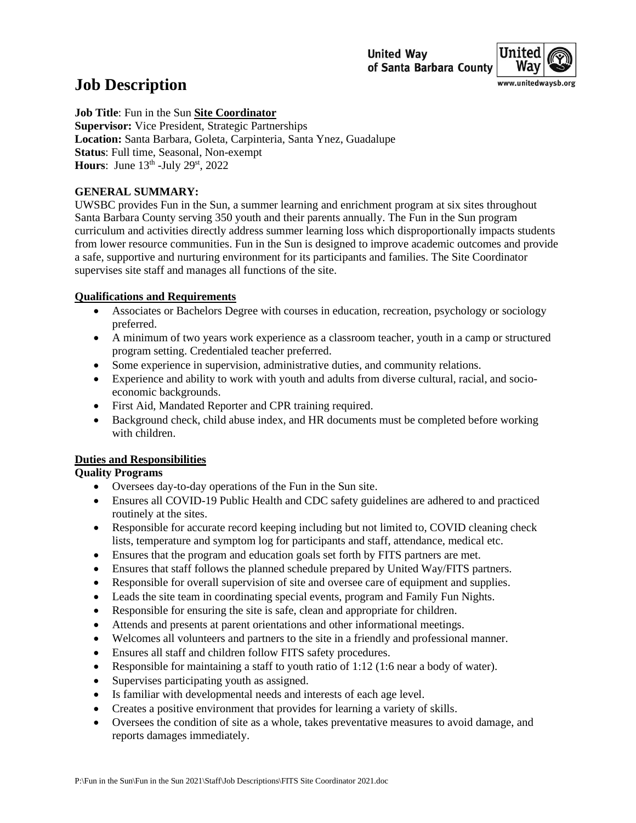

# **Job Description**

**Job Title**: Fun in the Sun **Site Coordinator Supervisor:** Vice President, Strategic Partnerships **Location:** Santa Barbara, Goleta, Carpinteria, Santa Ynez, Guadalupe **Status**: Full time, Seasonal, Non-exempt **Hours**: June  $13<sup>th</sup>$  -July  $29<sup>st</sup>$ ,  $2022$ 

## **GENERAL SUMMARY:**

UWSBC provides Fun in the Sun, a summer learning and enrichment program at six sites throughout Santa Barbara County serving 350 youth and their parents annually. The Fun in the Sun program curriculum and activities directly address summer learning loss which disproportionally impacts students from lower resource communities. Fun in the Sun is designed to improve academic outcomes and provide a safe, supportive and nurturing environment for its participants and families. The Site Coordinator supervises site staff and manages all functions of the site.

## **Qualifications and Requirements**

- Associates or Bachelors Degree with courses in education, recreation, psychology or sociology preferred.
- A minimum of two years work experience as a classroom teacher, youth in a camp or structured program setting. Credentialed teacher preferred.
- Some experience in supervision, administrative duties, and community relations.
- Experience and ability to work with youth and adults from diverse cultural, racial, and socioeconomic backgrounds.
- First Aid, Mandated Reporter and CPR training required.
- Background check, child abuse index, and HR documents must be completed before working with children.

#### **Duties and Responsibilities**

#### **Quality Programs**

- Oversees day-to-day operations of the Fun in the Sun site.
- Ensures all COVID-19 Public Health and CDC safety guidelines are adhered to and practiced routinely at the sites.
- Responsible for accurate record keeping including but not limited to, COVID cleaning check lists, temperature and symptom log for participants and staff, attendance, medical etc.
- Ensures that the program and education goals set forth by FITS partners are met.
- Ensures that staff follows the planned schedule prepared by United Way/FITS partners.
- Responsible for overall supervision of site and oversee care of equipment and supplies.
- Leads the site team in coordinating special events, program and Family Fun Nights.
- Responsible for ensuring the site is safe, clean and appropriate for children.
- Attends and presents at parent orientations and other informational meetings.
- Welcomes all volunteers and partners to the site in a friendly and professional manner.
- Ensures all staff and children follow FITS safety procedures.
- Responsible for maintaining a staff to youth ratio of 1:12 (1:6 near a body of water).
- Supervises participating youth as assigned.
- Is familiar with developmental needs and interests of each age level.
- Creates a positive environment that provides for learning a variety of skills.
- Oversees the condition of site as a whole, takes preventative measures to avoid damage, and reports damages immediately.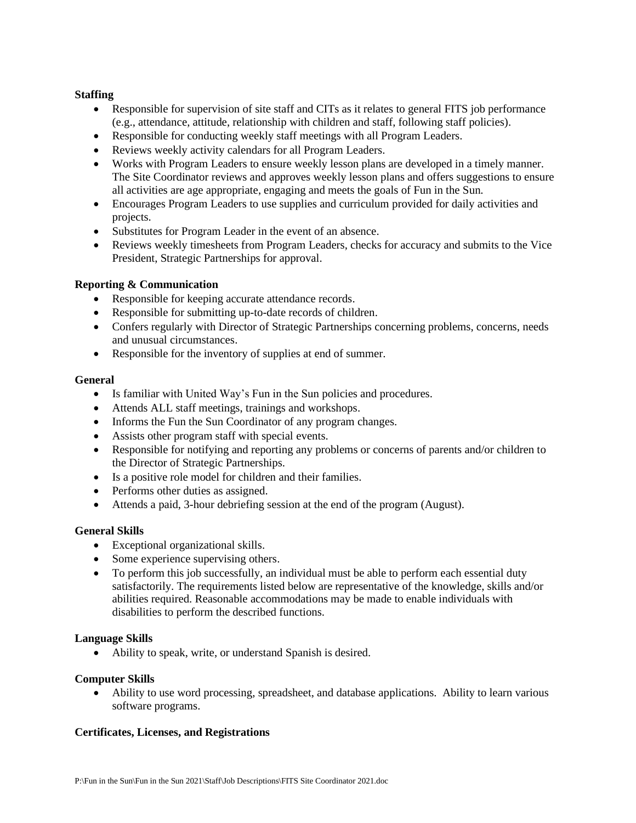## **Staffing**

- Responsible for supervision of site staff and CITs as it relates to general FITS job performance (e.g., attendance, attitude, relationship with children and staff, following staff policies).
- Responsible for conducting weekly staff meetings with all Program Leaders.
- Reviews weekly activity calendars for all Program Leaders.
- Works with Program Leaders to ensure weekly lesson plans are developed in a timely manner. The Site Coordinator reviews and approves weekly lesson plans and offers suggestions to ensure all activities are age appropriate, engaging and meets the goals of Fun in the Sun.
- Encourages Program Leaders to use supplies and curriculum provided for daily activities and projects.
- Substitutes for Program Leader in the event of an absence.
- Reviews weekly timesheets from Program Leaders, checks for accuracy and submits to the Vice President, Strategic Partnerships for approval.

# **Reporting & Communication**

- Responsible for keeping accurate attendance records.
- Responsible for submitting up-to-date records of children.
- Confers regularly with Director of Strategic Partnerships concerning problems, concerns, needs and unusual circumstances.
- Responsible for the inventory of supplies at end of summer.

#### **General**

- Is familiar with United Way's Fun in the Sun policies and procedures.
- Attends ALL staff meetings, trainings and workshops.
- Informs the Fun the Sun Coordinator of any program changes.
- Assists other program staff with special events.
- Responsible for notifying and reporting any problems or concerns of parents and/or children to the Director of Strategic Partnerships.
- Is a positive role model for children and their families.
- Performs other duties as assigned.
- Attends a paid, 3-hour debriefing session at the end of the program (August).

# **General Skills**

- Exceptional organizational skills.
- Some experience supervising others.
- To perform this job successfully, an individual must be able to perform each essential duty satisfactorily. The requirements listed below are representative of the knowledge, skills and/or abilities required. Reasonable accommodations may be made to enable individuals with disabilities to perform the described functions.

#### **Language Skills**

• Ability to speak, write, or understand Spanish is desired.

#### **Computer Skills**

• Ability to use word processing, spreadsheet, and database applications. Ability to learn various software programs.

# **Certificates, Licenses, and Registrations**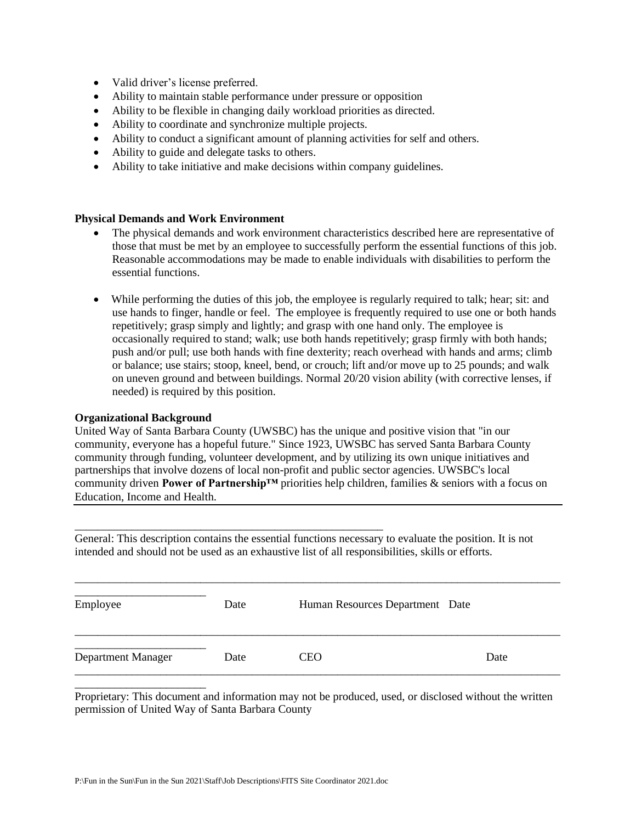- Valid driver's license preferred.
- Ability to maintain stable performance under pressure or opposition
- Ability to be flexible in changing daily workload priorities as directed.
- Ability to coordinate and synchronize multiple projects.
- Ability to conduct a significant amount of planning activities for self and others.
- Ability to guide and delegate tasks to others.
- Ability to take initiative and make decisions within company guidelines.

#### **Physical Demands and Work Environment**

- The physical demands and work environment characteristics described here are representative of those that must be met by an employee to successfully perform the essential functions of this job. Reasonable accommodations may be made to enable individuals with disabilities to perform the essential functions.
- While performing the duties of this job, the employee is regularly required to talk; hear; sit: and use hands to finger, handle or feel. The employee is frequently required to use one or both hands repetitively; grasp simply and lightly; and grasp with one hand only. The employee is occasionally required to stand; walk; use both hands repetitively; grasp firmly with both hands; push and/or pull; use both hands with fine dexterity; reach overhead with hands and arms; climb or balance; use stairs; stoop, kneel, bend, or crouch; lift and/or move up to 25 pounds; and walk on uneven ground and between buildings. Normal 20/20 vision ability (with corrective lenses, if needed) is required by this position.

#### **Organizational Background**

United Way of Santa Barbara County (UWSBC) has the unique and positive vision that "in our community, everyone has a hopeful future." Since 1923, UWSBC has served Santa Barbara County community through funding, volunteer development, and by utilizing its own unique initiatives and partnerships that involve dozens of local non-profit and public sector agencies. UWSBC's local community driven **Power of Partnership™** priorities help children, families & seniors with a focus on Education, Income and Health.

General: This description contains the essential functions necessary to evaluate the position. It is not intended and should not be used as an exhaustive list of all responsibilities, skills or efforts.

|                    | Date | Human Resources Department Date |      |
|--------------------|------|---------------------------------|------|
| Department Manager | Date | <b>CEO</b>                      | Date |

\_\_\_\_\_\_\_\_\_\_\_\_\_\_\_\_\_\_\_\_\_\_\_\_\_\_\_\_\_\_\_\_\_\_\_\_\_\_\_\_\_\_\_\_\_\_\_\_\_\_\_\_\_\_\_\_\_\_\_\_\_\_\_\_\_\_\_\_\_\_\_\_\_\_\_\_\_\_\_\_\_\_\_\_\_

Proprietary: This document and information may not be produced, used, or disclosed without the written permission of United Way of Santa Barbara County

\_\_\_\_\_\_\_\_\_\_\_\_\_\_\_\_\_\_\_\_\_\_\_\_\_\_\_\_\_\_\_\_\_\_\_\_\_\_\_\_\_\_\_\_\_\_\_\_\_\_\_\_\_\_